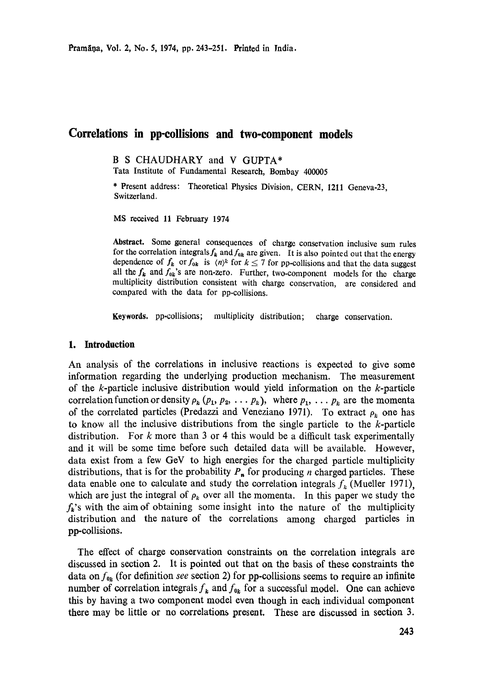# **Correlations in pp-collisions and two-component models**

**B S CHAUDHARY and V GUPTA\*** 

Tata Institute of Fundamental Research, Bombay 400005

\* Present address: Theoretical Physics Division, CERN, 1211 Geneva-23, Switzerland.

MS received 11 February 1974

**Abstract.** Some general consequences of charge conservation inclusive sum rules for the correlation integrals  $f_k$  and  $f_{0k}$  are given. It is also pointed out that the energy dependence of  $f_k$  or  $f_{0k}$  is  $\langle n \rangle^k$  for  $k \le 7$  for pp-collisions and that the data suggest all the  $f_k$  and  $f_{0k}$ 's are non-zero. Further, two-component models for the charge multiplicity distribution consistent with charge conservation, are considered and compared with the data for pp-collisions.

**Keywords.** pp-collisioas; multiplicity distribution; charge conservation.

#### **1. Introduction**

An analysis of the correlations in inclusive reactions is expected *to* give some information regarding the underlying production mechanism. The measurement of the k-particle inclusive distribution would yield information on the k-particle correlation function or density  $\rho_k$  ( $p_1, p_2, \ldots, p_k$ ), where  $p_1, \ldots, p_k$  are the momenta of the correlated particles (Predazzi and Veneziano 1971). To extract  $\rho_k$  one has to know all the inclusive distributions from the single particle to the k-particle distribution. For  $k$  more than 3 or 4 this would be a difficult task experimentally and it will be some time before such detailed data will be available. However, data exist from a few GeV to high energies for the charged particle multiplicity distributions, that is for the probability  $P_n$  for producing *n* charged particles. These data enable one to calculate and study the correlation integrals  $f_k$  (Mueller 1971), which are just the integral of  $\rho_k$  over all the momenta. In this paper we study the  $f_k$ 's with the aim of obtaining some insight into the nature of the multiplicity distribution and the nature of the correlations among charged particles in pp-collisions.

The effect of charge conservation constraints on the correlation integrals are discussed in section 2. It is pointed out that on the basis of these constraints the data on  $f_{\mathbf{0}_k}$  (for definition *see* section 2) for pp-collisions seems to require an infinite number of correlation integrals  $f_k$  and  $f_{0k}$  for a successful model. One can achieve this by having a two component model even though in each individual component there may be little or no correlations present. These are discussed in section 3.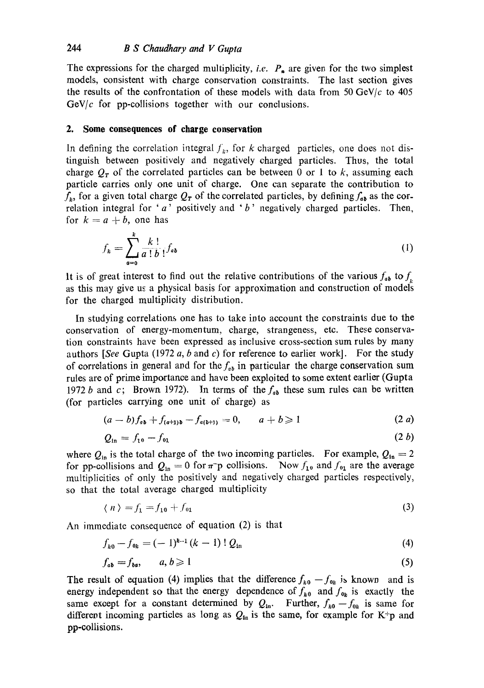The expressions for the charged multiplicity, *i.e.*  $P_n$  are given for the two simplest models, consistent with charge conservation constraints. The last section gives the results of the confrontation of these models with data from 50 GeV/c to 405  $GeV/c$  for pp-collisions together with our conclusions.

### **2. Some consequences of charge conservation**

In defining the correlation integral  $f<sub>k</sub>$ , for k charged particles, one does not distinguish between positively and negatively charged particles. Thus, the total charge  $Q_T$  of the correlated particles can be between 0 or 1 to k, assuming each particle carries only one unit of charge. One can separate the contribution to  $f_{k}$ , for a given total charge  $Q_{\tau}$  of the correlated particles, by defining  $f_{ab}$  as the correlation integral for 'a' positively and 'b' negatively charged particles. Then, for  $k=a+b$ , one has

$$
f_k = \sum_{a=0}^k \frac{k!}{a! \, b!} f_{ab} \tag{1}
$$

It is of great interest to find out the relative contributions of the various  $f_{ab}$  to  $f_{ab}$ as this may give us a physical basis for approximation and construction of models for the charged multiplicity distribution.

In studying correlations one has to take into account the copstraints due to the conservation of energy-momentum, charge, strangeness, etc. These conservation constraints have been expressed as inclusive cross-section sum rules by many authors *[See Gupta (1972 a, b and c)* for reference to earlier work]. For the study of correlations in general and for the  $f_{ab}$  in particular the charge conservation sum rules are of prime importance and have been exploited to some extent earlier (Gupta 1972 b and c; Brown 1972). In terms of the  $f_{ab}$  these sum rules can be written (for particles carrying one unit of charge) as

$$
(a-b)f_{a\mathbf{b}}+f_{(a+1)\mathbf{b}}-f_{a(b+1)}=0, \qquad a+b\geqslant 1 \qquad (2 \; a)
$$

$$
Q_{\rm in} = f_{10} - f_{01} \tag{2 b}
$$

where  $Q_{in}$  is the total charge of the two incoming particles. For example,  $Q_{in} = 2$ for pp-collisions and  $Q_{\text{in}} = 0$  for  $\pi$ -p collisions. Now  $f_{10}$  and  $f_{01}$  are the average multiplicities of only the positively and negatively charged particles respectively, so that the total average charged multiplicity

$$
\langle n \rangle = f_1 = f_{10} + f_{01} \tag{3}
$$

An immediate consequence of equation (2) is that

$$
f_{k0} - f_{0k} = (-1)^{k-1} (k-1) \, ! \, Q_{in} \tag{4}
$$

$$
f_{ab} = f_{ba}, \qquad a, b \geqslant 1 \tag{5}
$$

The result of equation (4) implies that the difference  $f_{k0} - f_{0k}$  is known and is energy independent so that the energy dependence of  $f_{k0}$  and  $f_{0k}$  is exactly the same except for a constant determined by  $Q_{in}$ . Further,  $f_{k0}-f_{0k}$  is same for different incoming particles as long as  $Q_{\text{in}}$  is the same, for example for K+p and pp-collisions.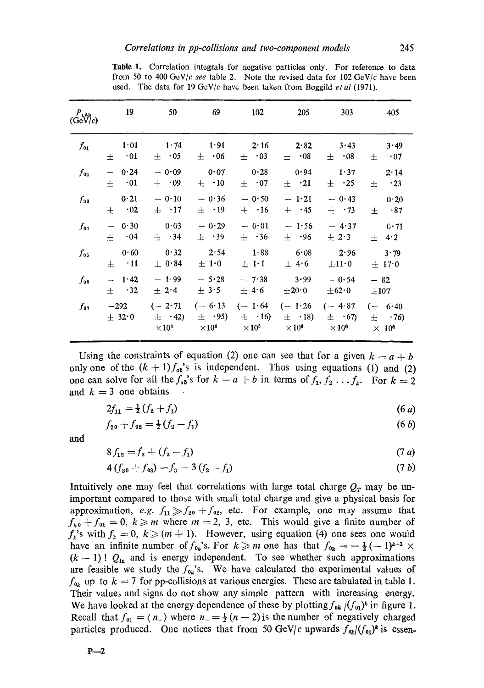| $P_{\text{LAP}}$<br>(GeV/c) | 19                        | 50                                       | 69                                       | 102                                      | 205                                              | 303                         | 405                                                 |
|-----------------------------|---------------------------|------------------------------------------|------------------------------------------|------------------------------------------|--------------------------------------------------|-----------------------------|-----------------------------------------------------|
| $f_{o_1}$                   | 1.01<br>$\cdot$ 01<br>$+$ | $1 \cdot 74$<br>$\pm$ 05                 | 1.91<br>$\pm$ 06                         | 2.16<br>$\pm$ .03                        | 2.82<br>$\pm$ 08                                 | 3.43<br>$\pm$ 08            | 3.49<br>$\pm$ 07                                    |
| $f_{02}$                    | 0.24                      | $-0.09$                                  | 0.07                                     | 0.28                                     | 0.94                                             | 1.37                        | $2 \cdot 14$                                        |
|                             | $\pm$ 01                  | $\pm$ 09                                 | $\pm$ .10                                | $\pm$ 07                                 | $\pm$ .21                                        | $\pm$ .25                   | $\pm$ 23                                            |
| $f_{03}$                    | 0.21                      | $-0.10$                                  | $-0.36$                                  | $-0.50$                                  | $-1.21$                                          | $-0.43$                     | 0.20                                                |
|                             | $\pm$ 02                  | $\pm$ .17                                | $\pm$ .19                                | $\pm$ .16                                | $\pm$ .45                                        | $\pm$ .73                   | $\pm$ 87                                            |
| $f_{04}$                    | $-0.30$                   | 0.03                                     | $-0.29$                                  | $-0.01$                                  | $-1.56$                                          | $-4.37$                     | 0.71                                                |
|                             | $\pm$ 04                  | $\pm$ 34                                 | $\pm$ .39                                | $\pm$ .36                                | $\pm$ .96                                        | $\pm$ 2.3                   | $\pm$ 4.2                                           |
| $f_{05}$                    | 0.60                      | 0.32                                     | 2.54                                     | 1.88                                     | 6.08                                             | 2.96                        | 3.79                                                |
|                             | $\pm$ 11                  | $\pm$ 0.84                               | $\pm$ 1.0                                | $\pm$ 1.1                                | $\pm$ 4.6                                        | $\pm 11$ <sup>.</sup> 0     | $\pm$ 17.0                                          |
| $f_{06}$                    | $-1.42$                   | $-1.99$                                  | $-5.28$                                  | $-7.38$                                  | 3.99                                             | $-0.54$                     | $-82$                                               |
|                             | $+$ 32                    | $\pm$ 2.4                                | $\pm$ 3.5                                | $\pm$ 4.6                                | $\pm 20~0$                                       | $\pm 62.0$                  | $\pm 107$                                           |
| $f_{01}$                    | $-292$<br>$+32.0$         | $(-2.71)$<br>$\pm$ .42)<br>$\times 10^4$ | $(-6.13)$<br>$\pm$ .95)<br>$\times 10^4$ | $(-1.64)$<br>$\pm$ ·16)<br>$\times 10^5$ | $(-1.26 \t(-4.87$<br>$\pm$ (18)<br>$\times 10^6$ | $\pm$ .67)<br>$\times 10^6$ | $(-6.40$<br>$\pm$ . 76)<br>$\times$ 10 <sup>6</sup> |

Table 1. Correlation integrals for negative particles only. For reference to data from 50 to 400 GeV/c see table 2. Note the revised data for  $102 \text{ GeV}/c$  have been used. The data for 19 GeV/c have been taken from Boggild *et al* (1971).

Using the constraints of equation (2) one can see that for a given  $k = a + b$ only one of the  $(k + 1)f_{ab}$ 's is independent. Thus using equations (1) and (2) one can solve for all the  $f_{a\overline{b}}$ 's for  $k = a + b$  in terms of  $f_1, f_2, \ldots, f_k$ . For  $k = 2$ and  $k = 3$  one obtains

$$
2f_{11} = \frac{1}{2}(f_2 + f_1) \tag{6 a}
$$

$$
f_{20} + f_{02} = \frac{1}{2}(f_2 - f_1) \tag{6 b}
$$

and

$$
8f_{12} = f_3 + (f_2 - f_1) \tag{7 a}
$$

$$
4(f_{30} + f_{03}) = f_3 - 3(f_2 - f_1) \tag{7 b}
$$

Intuitively one may feel that correlations with large total charge  $Q_T$  may be unimportant compared to those with small total charge and give a physical basis for approximation, *e.g.*  $f_{11} \gg f_{20} + f_{02}$ , etc. For example, one may assume that  $f_{k0} + f_{0k} = 0, k \ge m$  where  $m = 2, 3$ , etc. This would give a finite number of  $f_k$ 's with  $f_k = 0$ ,  $k \geqslant (m + 1)$ . However, using equation (4) one sees one would have an infinite number of  $f_{0k}$ 's. For  $k \ge m$  one has that  $f_{0k} = -\frac{1}{2}(-1)^{k-1} \times$  $(k - 1)!$   $Q_{\text{in}}$  and is energy independent. To see whether such approximations are feasible we study the  $f_{0k}$ 's. We have calculated the experimental values of  $f_{\alpha k}$  up to  $k = 7$  for pp-collisions at various energies. These are tabulated in table 1. Their values and signs do not show any simple pattern with increasing energy. We have looked at the energy dependence of these by plotting  $f_{0k}/(f_{01})^k$  ir figure 1. Recall that  $f_{01} = \langle n_{-} \rangle$  where  $n_{-} = \frac{1}{2}(n-2)$  is the number of negatively charged particles produced. One notices that from 50 GeV/c upwards  $f_{0*}/(f_{0*})^k$  is essen-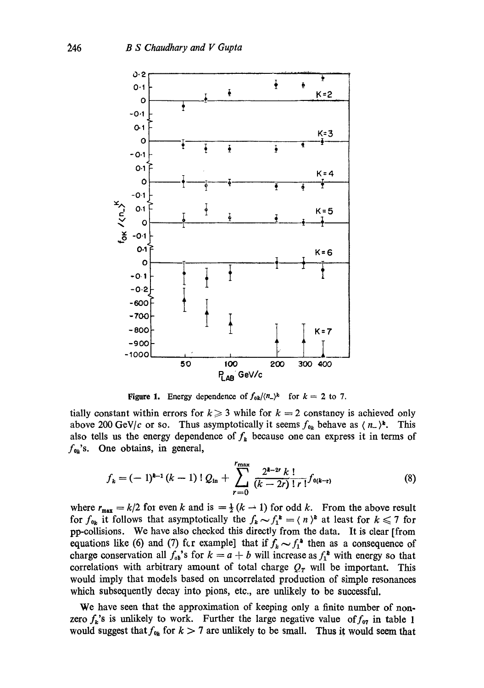

Figure 1. Energy dependence of  $f_{0k}/(n_-)^k$  for  $k = 2$  to 7.

tially constant within errors for  $k \geq 3$  while for  $k = 2$  constancy is achieved only above 200 GeV/c or so. Thus asymptotically it seems  $f_{0k}$  behave as  $\langle n_{-}\rangle^{\mathbf{k}}$ . This also tells us the energy dependence of  $f<sub>k</sub>$  because one can express it in terms of  $f_{0k}$ 's. One obtains, in general,

$$
f_k = (-1)^{k-1} (k-1) \, ! \, Q_{\text{in}} + \sum_{r=0}^{r_{\text{max}}} \frac{2^{k-2r} k \, !}{(k-2r) \, ! \, r \, !} f_{0(k-r)} \tag{8}
$$

where  $r_{\text{max}} = k/2$  for even k and is  $= \frac{1}{2} (k - 1)$  for odd k. From the above result for  $f_{0k}$  it follows that asymptotically the  $f_k \sim f_1^k = \langle n \rangle^k$  at least for  $k \leq 7$  for pp-collisions. We have also checked this directly from the data. It is dear [from equations like (6) and (7) for example] that if  $f_k \sim f_1^*$  then as a consequence of charge conservation all  $f_{ab}$ 's for  $k = a + b$  will increase as  $f_1^*$  with energy so that correlations with arbitrary amount of total charge  $Q_T$  will be important. This would imply that models based on uncorrelated production of simple resonances which subsequently decay into pions, etc., are unlikely to be successful.

We have seen that the approximation of keeping only a finite number of nonzero  $f_k$ 's is unlikely to work. Further the large negative value of  $f_{07}$  in table 1 would suggest that  $f_{0k}$  for  $k > 7$  are unlikely to be small. Thus it would seem that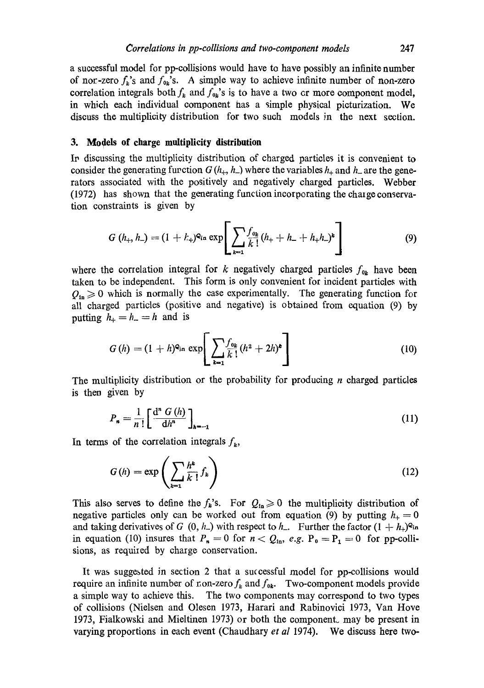a successful model for pp-collisions would have to have possibly an infinite number of nor-zero  $f_k$ 's and  $f_{\theta_k}$ 's. A simple way to achieve infinite number of non-zero correlation integrals both  $f_k$  and  $f_{0k}$ 's is to have a two cr more component model, in which each individual component has a simple physical picturization. We discuss the multiplicity distribution for two such models in the next section.

## **3. Models of charge multiplicity distribution**

In discussing the multiplicity distribution of charged particles it is convenient to consider the generating function  $G(h_+, h_-)$  where the variables  $h_+$  and  $h_-$  are the generators associated with the positively and negatively charged particles. Webber (1972) has shown that the generating function incorporating the chazge conservation constraints is given by

$$
G(h_+, h_-) = (1 + k_+)^{Q_{\text{in}}} \exp\left[\sum_{k=1}^{\infty} \frac{f_{o_k}}{k!} (h_+ + h_- + h_+ h_-)^k\right]
$$
(9)

where the correlation integral for k negatively charged particles  $f_{0<sub>k</sub>}$  have been taken to be independent. This form is only convenient for incident particles with  $Q_{\text{in}} \geq 0$  which is normally the case experimentally. The generating function for all charged particles (positive and negative) is obtained from equation (9) by putting  $h_+ = h_- = h$  and is

$$
G(h) = (1+h)^{Q_{\text{in}}} \exp\left[\sum_{k=1}^{f_{0k}} \frac{(h^2+2h)^k}{k!} \right]
$$
 (10)

The multiplicity distribution or the probability for producing *n* charged particles is then given by

$$
P_n = \frac{1}{n!} \left[ \frac{\mathrm{d}^n \ G\left(h\right)}{\mathrm{d}h^n} \right]_{h=-1} \tag{11}
$$

In terms of the correlation integrals  $f_k$ ,

$$
G(h) = \exp\left(\sum_{k=1}^{\infty} \frac{h^k}{k!} f_k\right)
$$
 (12)

This also serves to define the  $f_k$ 's. For  $Q_{1n} \geq 0$  the multiplicity distribution of negative particles only can be worked out from equation (9) by putting  $h_+ = 0$ and taking derivatives of G (0, h<sub>-</sub>) with respect to h<sub>-</sub>. Further the factor  $(1 + h_+)$ <sup>o</sup>in in equation (10) insures that  $P_n = 0$  for  $n < Q_{\text{in}}$ , e.g.  $P_0 = P_1 = 0$  for pp-collisions, as required by charge conservation.

It was suggested in section 2 that a successful model for pp-collisions would require an infinite number of non-zero  $f_k$  and  $f_{0k}$ . Two-component models provide a simple way to achieve this. The two components may correspond to two types of collisions (Nielsen and Olesen 1973, Harari and Rabinovici 1973, Van Hove 1973, Fialkowski and Mieltinen 1973) or both the componenL may be present in varying proportions in each event (Chaudhary *et al* 1974). We discuss here two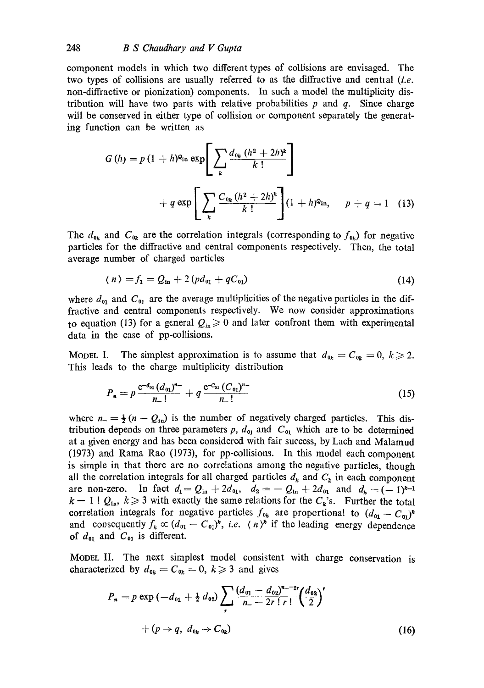component models in which two different types of collisions are envisaged. The two types of collisions are usually referred to as the diffractive and central *(i.e.* non-diffractive or pionization) components. In such a model the multiplicity distribution will have two parts with relative probabilities  $p$  and  $q$ . Since charge will be conserved in either type of collision or component separately the generating function can be written as

$$
G(h) = p (1 + h)^{Q_{\text{in}}} \exp \left[ \sum_{k} \frac{d_{0k} (h^{2} + 2h)^{k}}{k!} \right] + q \exp \left[ \sum_{k} \frac{C_{0k} (h^{2} + 2h)^{k}}{k!} \right] (1 + h)^{Q_{\text{in}}}, \quad p + q = 1 \quad (13)
$$

The  $d_{\theta_k}$  and  $C_{\theta_k}$  are the correlation integrals (corresponding to  $f_{\theta_k}$ ) for negative particles for the diffractive and central components respectively. Then, the total average number of charged particles

$$
\langle n \rangle = f_1 = Q_{\rm in} + 2 \left( p d_{\rm 01} + q C_{\rm 01} \right) \tag{14}
$$

where  $d_{01}$  and  $C_{01}$  are the average multiplicities of the negative particles in the diffractive and central components respectively. We now consider approximations to equation (13) for a general  $Q_{\text{in}} \geq 0$  and later confront them with experimental data in the case of pp-collisions.

Model I. The simplest approximation is to assume that  $d_{0k} = C_{0k} = 0, k \geq 2$ . This leads to the charge multiplicity distribution

$$
P_n = p \frac{e^{-d_{01}} (d_{01})^{n-}}{n-!} + q \frac{e^{-c_{01}} (C_{01})^{n-}}{n-!}
$$
 (15)

where  $n = \frac{1}{2}(n - Q_{\text{in}})$  is the number of negatively charged particles. This distribution depends on three parameters p,  $d_{01}$  and  $C_{01}$  which are to be determined at a given energy and has been considered with fair success, by Lach and Malamud (1973) and Rama Rao (1973), for pp-collisions. In this model each component is simple in that there are no correlations among the negative particles, though all the correlation integrals for all charged particles  $d_k$  and  $C_k$  in each component are non-zero. In fact  $d_1 = Q_{in} + 2d_{01}$ ,  $d_2 = -Q_{in} + 2d_{01}$  and  $d_k = (-1)^{k-1}$  $k - 1! Q_{\text{in}}$ ,  $k \geq 3$  with exactly the same relations for the  $C_k$ 's. Further the total correlation integrals for negative particles  $f_{\mathbf{0}_k}$  are proportional to  $(d_{\mathbf{0}_1}- C_{\mathbf{0}_1})^k$ and consequently  $f_k \propto (d_{01} - C_{01})^k$ , *i.e.*  $\langle n \rangle^k$  if the leading energy dependence of  $d_{01}$  and  $C_{01}$  is different.

MODEL II. The next simplest model consistent with charge conservation is characterized by  $d_{0k} = C_{0k} = 0, k \geq 3$  and gives

$$
P_n = p \exp(-d_{01} + \frac{1}{2} d_{02}) \sum_r \frac{(d_{01} - d_{02})^{n-2r}}{n-2r \, \text{if} \, 1} \left(\frac{d_{03}}{2}\right)^r + (p \to q, \ d_{0k} \to C_{0k}) \tag{16}
$$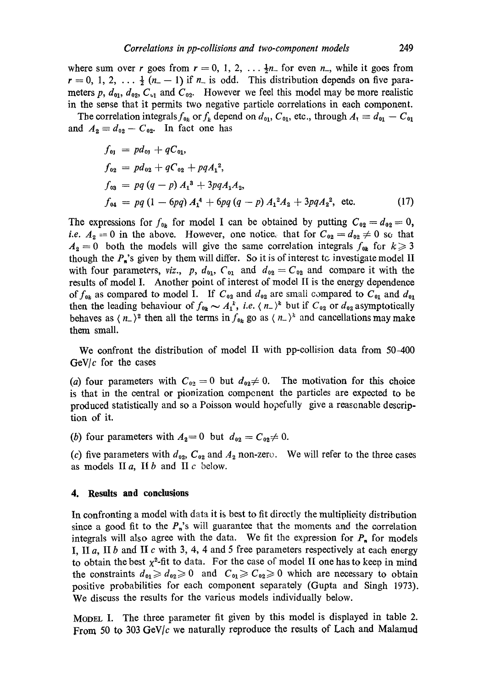where sum over r goes from  $r = 0, 1, 2, \ldots \frac{1}{2}n$  for even  $n_{-}$ , while it goes from  $r = 0, 1, 2, \ldots \frac{1}{2}(n-1)$  if  $n_{-}$  is odd. This distribution depends on five parameters p,  $d_{01}$ ,  $d_{02}$ ,  $C_{v1}$  and  $C_{v2}$ . However we feel this model may be more realistic in the sevse that it permits two negative particle correlations in each component.

The correlation integrals  $f_{0k}$  or  $f_k$  depend on  $d_{01}$ ,  $C_{01}$ , etc., through  $A_1 \equiv d_{01} - C_{01}$ and  $A_2 \equiv d_{02} - C_{02}$ . In fact one has

$$
f_{01} = pd_{01} + qC_{01},
$$
  
\n
$$
f_{02} = pd_{02} + qC_{02} + pqA_1^2,
$$
  
\n
$$
f_{03} = pq (q - p) A_1^3 + 3pqA_1A_2,
$$
  
\n
$$
f_{04} = pq (1 - 6pq) A_1^4 + 6pq (q - p) A_1^2A_2 + 3pqA_2^2, etc.
$$
\n(17)

The expressions for  $f_{0^k}$  for model I can be obtained by putting  $C_{0^2} = d_{0^2} = 0$ , *i.e.*  $A_2 = 0$  in the above. However, one notice, that for  $C_{02} = d_{02} \neq 0$  so that  $A_2 = 0$  both the models will give the same correlation integrals  $f_{0*}$  for  $k \ge 3$ though the  $P_n$ 's given by them will differ. So it is of interest tc. investigate model II with four parameters, *viz.*, p,  $d_{01}$ ,  $C_{01}$  and  $d_{02} = C_{02}$  and compare it with the results of model I. Another point of interest of model II is the energy dependence of  $f_{\theta k}$  as compared to model I. If  $C_{\theta 2}$  and  $d_{\theta 2}$  are small compared to  $C_{\theta 1}$  and  $d_{\theta 1}$ then the leading behaviour of  $f_{0k} \sim A_1^k$ , *i.e.*  $\langle n_- \rangle^k$  but if  $C_{02}$  or  $d_{02}$  asymptotically behaves as  $\langle n_{-}\rangle^2$  then all the terms in  $f_{0^*}$  go as  $\langle n_{-}\rangle^2$  and cancellations may make them small.

We confront the distribution of model II with pp-collision data from 50-400 GeV/ $c$  for the cases

(a) four parameters with  $C_{02} = 0$  but  $d_{02} \neq 0$ . The motivation for this choice is that in the central or pionization compenent the particles are expected to be produced statistically and so a Poisson would hopefully give a reasonable description of it.

(b) four parameters with  $A_2 = 0$  but  $d_{02} = C_{02} \neq 0$ .

(c) five parameters with  $d_{92}$ ,  $C_{92}$  and  $A_2$  non-zero. We will refer to the three cases as models  $\text{II } a$ ,  $\text{II } b$  and  $\text{II } c$  below.

#### **4. Results and conclusions**

In confronting a model with data it is best to fit directly the multiplicity distribution since a good fit to the  $P_n$ 's will guarantee that the moments and the correlation integrals will also agree with the data. We fit the expression for  $P_n$  for models I, II a, II b and II c with 3, 4, 4 and 5 free parameters respectively at each energy to obtain the best  $\chi^2$ -fit to data. For the case of model II one has to keep in mind the constraints  $d_{01}\geq d_{02}\geq 0$  and  $C_{01}\geq C_{02}\geq 0$  which are necessary to obtain positive probabilities for each component separately (Gupta and Singh 1973). We discuss the results for the varieus models individually below.

MODEL I. The three parameter fit given by this model is displayed in table 2. From 50 to 303 GeV/ $c$  we naturally reproduce the results of Lach and Malamud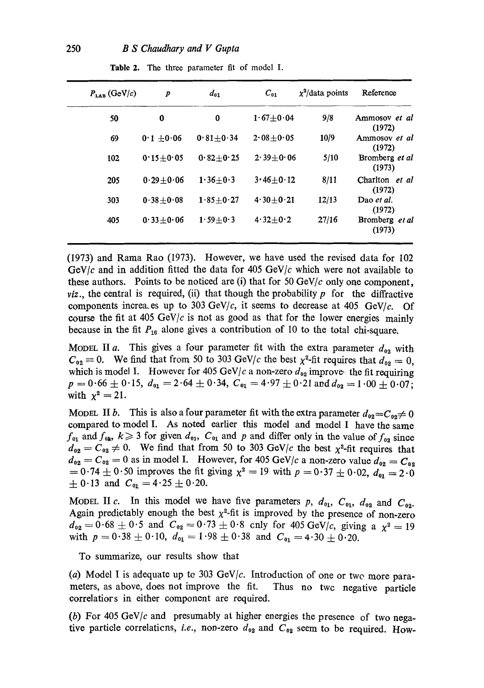| $P_{\text{tan}}$ (GeV/c) | $\boldsymbol{p}$ | $d_{01}$        | $C_{01}$      | $x^2$ /data points | Reference                |
|--------------------------|------------------|-----------------|---------------|--------------------|--------------------------|
| 50                       | 0                | 0               | $1.67 + 0.04$ | 9/8                | Ammosov et al<br>(1972)  |
| 69                       | $0.1 + 0.06$     | $0.81 + 0.34$   | $2.08 + 0.05$ | 10/9               | Ammosov et al<br>(1972)  |
| 102                      | $0.15 + 0.05$    | $0.82 + 0.25$   | $2.39 + 0.06$ | 5/10               | Bromberg et al<br>(1973) |
| 205                      | $0.29 + 0.06$    | $1.36 + 0.3$    | $3.46 + 0.12$ | 8/11               | Charlton et al<br>(1972) |
| 303                      | $0.38 \pm 0.08$  | $1.85 \pm 0.27$ | $4.30 + 0.21$ | 12/13              | Dao et al.<br>(1972)     |
| 405                      | $0.33 \pm 0.06$  | $1.59 \pm 0.3$  | $4.32 + 0.2$  | 27/16              | Bromberg et al<br>(1973) |

**Table** 2. The three parameter fit of model I.

(1973) and Rama Rao (1973). However, we have used the revised data for 102 GeV/c and in addition fitted the data for 405 GeV/c which were not available to these authors. Points to be noticed are (i) that for 50 GeV/ $c$  only one component, *viz.*, the central is required, (ii) that though the probability  $p$  for the diffractive components increases up to 303 GeV/c, it seems to decrease at 405 GeV/c. Of course the fit at 405 GeV/c is not as good as that for the lower energies mainly because in the fit  $P_{16}$  alone gives a contribution of 10 to the total chi-square.

MODEL II a. This gives a four parameter fit with the extra parameter  $d_{02}$  with  $C_{02} \equiv 0$ . We find that from 50 to 303 GeV/c the best  $\chi^2$ -fit requires that  $d_{02} = 0$ , which is model I. However for 405 GeV/c a non-zero  $d_{02}$  improvet the fit requiring  $p = 0.66 \pm 0.15$ ,  $d_{01} = 2.64 \pm 0.34$ ,  $C_{01} = 4.97 \pm 0.21$  and  $d_{02} = 1.00 \pm 0.07$ ; with  $\chi^2 = 21$ .

MODEL II b. This is also a four parameter fit with the extra parameter  $d_{02} = C_{02} \neq 0$ compared to model I. As noted earlier this model and model I have the same  $f_{01}$  and  $f_{0k}$ ,  $k\geq 3$  for given  $d_{01}$ ,  $C_{01}$  and p and differ only in the value of  $f_{02}$  since  $d_{02} = C_{02} \neq 0$ . We find that from 50 to 303 GeV/c the best  $\chi^2$ -fit requires that  $d_{02} = C_{02} = 0$  as in model I. However, for 405 GeV/c a non-zero value  $d_{02} = C_{02}$ =  $0.74 \pm 0.50$  improves the fit giving  $\chi^2 = 19$  with  $p = 0.37 \pm 0.02$ ,  $d_{01} = 2.0$  $\pm$  0.13 and  $C_{01} = 4.25 \pm 0.20$ .

MODEL II c. In this model we have five parameters p,  $d_{01}$ ,  $C_{01}$ ,  $d_{02}$  and  $C_{02}$ . Again predictably enough the best  $\chi^2$ -fit is improved by the presence of non-zero  $d_{02} = 0.68 \pm 0.5$  and  $C_{02} = 0.73 \pm 0.8$  cnly for 405 GeV/c, giving a  $\chi^2 = 19$ with  $p = 0.38 \pm 0.10$ ,  $d_{01} = 1.98 \pm 0.38$  and  $C_{01} = 4.30 \pm 0.20$ .

To summarize, our results show that

(a) Model I is adequate up to 303 GeV/ $c$ . Introduction of one or two more parameters, as above, does not improve the fit. Thus no twc negative particle correlatiors in either component are required.

(b) For 405 GeV/ $c$  and presumably at higher energies the presence of two negative particle correlations, *i.e.*, non-zero  $d_{02}$  and  $C_{02}$  seem to be required. How